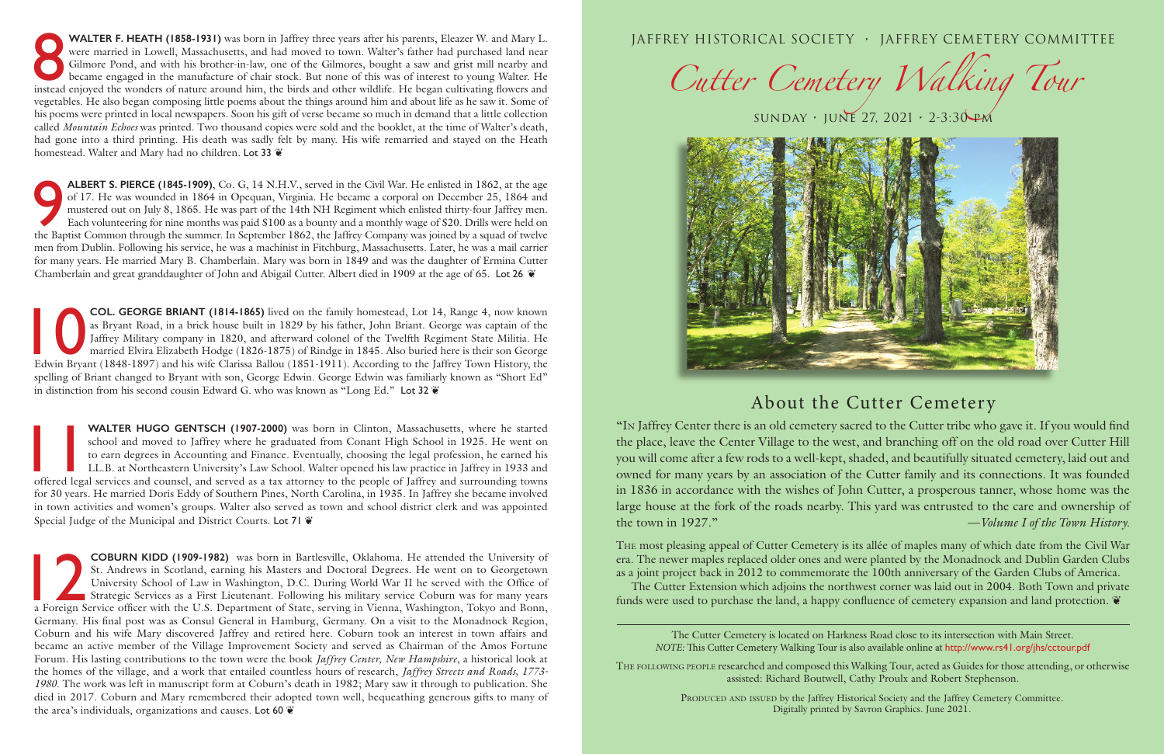JAFFREY HISTORICAL SOCIETY • JAFFREY CEMETERY COMMITTEE

*Cutter Cemetery Walking Tour*



sunday • june 27, 2021 • 2-3:30 pm

## About the Cutter Cemetery

PRODUCED AND ISSUED by the Jaffrey Historical Society and the Jaffrey Cemetery Committee. Digitally printed by Savron Graphics. June 2021.

The following people researched and composed this Walking Tour, acted as Guides for those attending, or otherwise assisted: Richard Boutwell, Cathy Proulx and Robert Stephenson.

The most pleasing appeal of Cutter Cemetery is its allée of maples many of which date from the Civil War era. The newer maples replaced older ones and were planted by the Monadnock and Dublin Garden Clubs as a joint project back in 2012 to commemorate the 100th anniversary of the Garden Clubs of America. The Cutter Extension which adjoins the northwest corner was laid out in 2004. Both Town and private funds were used to purchase the land, a happy confluence of cemetery expansion and land protection.  $\ddot{\mathbf{v}}$ 

"In Jaffrey Center there is an old cemetery sacred to the Cutter tribe who gave it. If you would find the place, leave the Center Village to the west, and branching off on the old road over Cutter Hill you will come after a few rods to a well-kept, shaded, and beautifully situated cemetery, laid out and owned for many years by an association of the Cutter family and its connections. It was founded in 1836 in accordance with the wishes of John Cutter, a prosperous tanner, whose home was the large house at the fork of the roads nearby. This yard was entrusted to the care and ownership of the town in 1927." —*Volume I of the Town History.*

The Cutter Cemetery is located on Harkness Road close to its intersection with Main Street. *NOTE:* This Cutter Cemetery Walking Tour is also available online at http://www.rs41.org/jhs/cctour.pdf

WALTER F. HEATH (1858-1931) was born in Jaffrey three years after his parents, Eleazer W. and Mary L.<br>were married in Lowell, Massachusetts, and had moved to town. Walter's father had purchased land near<br>Gilmore Pond, and **WALTER F. HEATH (1858-1931)** was born in Jaffrey three years after his parents, Eleazer W. and Mary L. were married in Lowell, Massachusetts, and had moved to town. Walter's father had purchased land near Gilmore Pond, and with his brother-in-law, one of the Gilmores, bought a saw and grist mill nearby and became engaged in the manufacture of chair stock. But none of this was of interest to young Walter. He vegetables. He also began composing little poems about the things around him and about life as he saw it. Some of his poems were printed in local newspapers. Soon his gift of verse became so much in demand that a little collection called *Mountain Echoes* was printed. Two thousand copies were sold and the booklet, at the time of Walter's death, had gone into a third printing. His death was sadly felt by many. His wife remarried and stayed on the Heath homestead. Walter and Mary had no children. Lot 33  $\mathfrak{E}$ 

**ALBERT S. PIERCE (1845-1909)**, Co. G, 14 N.H.V., served in the Civil War. He enlisted in 1862, at the age of 17. He was wounded in 1864 in Opequan, Virginia. He became a corporal on December 25, 1864 and mustered out on J **ALBERT S. PIERCE (1845-1909)**, Co. G, 14 N.H.V., served in the Civil War. He enlisted in 1862, at the age of 17. He was wounded in 1864 in Opequan, Virginia. He became a corporal on December 25, 1864 and mustered out on July 8, 1865. He was part of the 14th NH Regiment which enlisted thirty-four Jaffrey men. Each volunteering for nine months was paid \$100 as a bounty and a monthly wage of \$20. Drills were held on men from Dublin. Following his service, he was a machinist in Fitchburg, Massachusetts. Later, he was a mail carrier for many years. He married Mary B. Chamberlain. Mary was born in 1849 and was the daughter of Ermina Cutter Chamberlain and great granddaughter of John and Abigail Cutter. Albert died in 1909 at the age of 65. Lot 26 ❦

**COL. GEORGE BRIANT (1814-1865)** lived on the family homestead, Lot 14, Range 4, now known as Bryant Road, in a brick house built in 1829 by his father, John Briant. George was captain of the Jaffrey Military company in 18 as Bryant Road, in a brick house built in 1829 by his father, John Briant. George was captain of the Jaffrey Military company in 1820, and afterward colonel of the Twelfth Regiment State Militia. He married Elvira Elizabeth Hodge (1826-1875) of Rindge in 1845. Also buried here is their son George Edwin Bryant (1848-1897) and his wife Clarissa Ballou (1851-1911). According to the Jaffrey Town History, the spelling of Briant changed to Bryant with son, George Edwin. George Edwin was familiarly known as "Short Ed" in distinction from his second cousin Edward G. who was known as "Long Ed." Lot 32  $\mathbf{\tilde{e}}$ 

**11 WALTER HUGO GENTSCH (1907-2000)** was born in Clinton, Massachusetts, where he started school and moved to Jaffrey where he graduated from Conant High School in 1925. He went on to earn degrees in Accounting and Finance school and moved to Jaffrey where he graduated from Conant High School in 1925. He went on to earn degrees in Accounting and Finance. Eventually, choosing the legal profession, he earned his LL.B. at Northeastern University's Law School. Walter opened his law practice in Jaffrey in 1933 and offered legal services and counsel, and served as a tax attorney to the people of Jaffrey and surrounding towns for 30 years. He married Doris Eddy of Southern Pines, North Carolina, in 1935. In Jaffrey she became involved in town activities and women's groups. Walter also served as town and school district clerk and was appointed Special Judge of the Municipal and District Courts. Lot 71  $\mathscr{C}$ 

**COBURN KIDD (1909-1982)** was born in Bartlesville, Oklahoma. He attended the University of St. Andrews in Scotland, earning his Masters and Doctoral Degrees. He went on to Georgetown University School of Law in Washington St. Andrews in Scotland, earning his Masters and Doctoral Degrees. He went on to Georgetown University School of Law in Washington, D.C. During World War II he served with the Office of Strategic Services as a First Lieutenant. Following his military service Coburn was for many years a Foreign Service officer with the U.S. Department of State, serving in Vienna, Washington, Tokyo and Bonn, Germany. His final post was as Consul General in Hamburg, Germany. On a visit to the Monadnock Region, Coburn and his wife Mary discovered Jaffrey and retired here. Coburn took an interest in town affairs and became an active member of the Village Improvement Society and served as Chairman of the Amos Fortune Forum. His lasting contributions to the town were the book *Jaffrey Center, New Hampshire*, a historical look at the homes of the village, and a work that entailed countless hours of research, *Jaffrey Streets and Roads, 1773- 1980*. The work was left in manuscript form at Coburn's death in 1982; Mary saw it through to publication. She died in 2017. Coburn and Mary remembered their adopted town well, bequeathing generous gifts to many of the area's individuals, organizations and causes. Lot 60 ❦